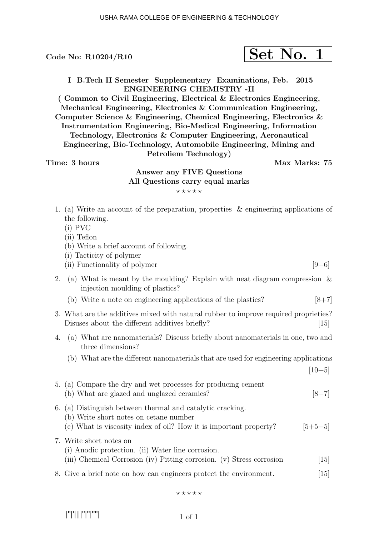$$
\fbox{Set No. 1}
$$

I B.Tech II Semester Supplementary Examinations, Feb. 2015 ENGINEERING CHEMISTRY -II

( Common to Civil Engineering, Electrical & Electronics Engineering, Mechanical Engineering, Electronics & Communication Engineering, Computer Science & Engineering, Chemical Engineering, Electronics & Instrumentation Engineering, Bio-Medical Engineering, Information Technology, Electronics & Computer Engineering, Aeronautical Engineering, Bio-Technology, Automobile Engineering, Mining and Petroliem Technology)

Time: 3 hours and the set of the Max Marks: 75

### Answer any FIVE Questions All Questions carry equal marks  $***$ \*\*

- 1. (a) Write an account of the preparation, properties & engineering applications of the following.
	- (i) PVC
	- (ii) Teflon
	- (b) Write a brief account of following.
	- (i) Tacticity of polymer
	- (ii) Functionality of polymer  $[9+6]$
- 2. (a) What is meant by the moulding? Explain with neat diagram compression & injection moulding of plastics?
	- (b) Write a note on engineering applications of the plastics?  $[8+7]$
- 3. What are the additives mixed with natural rubber to improve required proprieties? Disuses about the different additives briefly? [15]
- 4. (a) What are nanomaterials? Discuss briefly about nanomaterials in one, two and three dimensions?
	- (b) What are the different nanomaterials that are used for engineering applications
		- $[10+5]$
- 5. (a) Compare the dry and wet processes for producing cement (b) What are glazed and unglazed ceramics?  $[8+7]$ 6. (a) Distinguish between thermal and catalytic cracking. (b) Write short notes on cetane number (c) What is viscosity index of oil? How it is important property?  $[5+5+5]$ 7. Write short notes on (i) Anodic protection. (ii) Water line corrosion. (iii) Chemical Corrosion (iv) Pitting corrosion. (v) Stress corrosion [15] 8. Give a brief note on how can engineers protect the environment. [15]

 $***$ 

|''|'||||''|''|''''|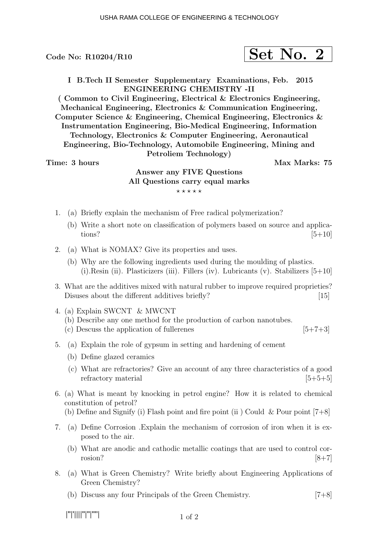$$
\fbox{Set No. 2}
$$

I B.Tech II Semester Supplementary Examinations, Feb. 2015 ENGINEERING CHEMISTRY -II

( Common to Civil Engineering, Electrical & Electronics Engineering, Mechanical Engineering, Electronics & Communication Engineering, Computer Science & Engineering, Chemical Engineering, Electronics & Instrumentation Engineering, Bio-Medical Engineering, Information Technology, Electronics & Computer Engineering, Aeronautical Engineering, Bio-Technology, Automobile Engineering, Mining and Petroliem Technology)

Time: 3 hours and the set of the Max Marks: 75

# Answer any FIVE Questions All Questions carry equal marks  $***$ \*\*

- 1. (a) Briefly explain the mechanism of Free radical polymerization?
	- (b) Write a short note on classification of polymers based on source and applications?  $[5+10]$
- 2. (a) What is NOMAX? Give its properties and uses.
	- (b) Why are the following ingredients used during the moulding of plastics. (i). Resin (ii). Plasticizers (iii). Fillers (iv). Lubricants (v). Stabilizers  $[5+10]$
- 3. What are the additives mixed with natural rubber to improve required proprieties? Disuses about the different additives briefly? [15]
- 4. (a) Explain SWCNT & MWCNT (b) Describe any one method for the production of carbon nanotubes. (c) Descuss the application of fullerenes  $[5+7+3]$
- 5. (a) Explain the role of gypsum in setting and hardening of cement
	- (b) Define glazed ceramics
	- (c) What are refractories? Give an account of any three characteristics of a good refractory material  $[5+5+5]$
- 6. (a) What is meant by knocking in petrol engine? How it is related to chemical constitution of petrol?
	- (b) Define and Signify (i) Flash point and fire point (ii) Could & Pour point  $[7+8]$
- 7. (a) Define Corrosion .Explain the mechanism of corrosion of iron when it is exposed to the air.
	- (b) What are anodic and cathodic metallic coatings that are used to control corrosion?  $[8+7]$
- 8. (a) What is Green Chemistry? Write briefly about Engineering Applications of Green Chemistry?
	- (b) Discuss any four Principals of the Green Chemistry. [7+8]

|''|'||||''|''|''''|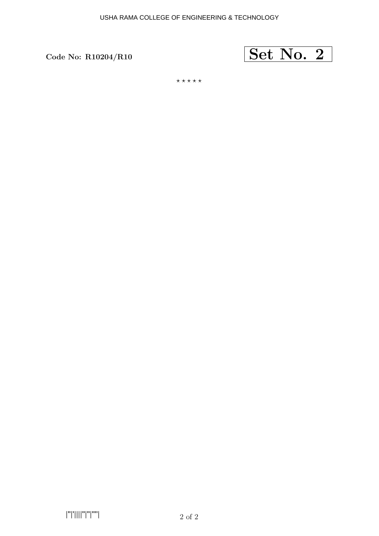

 $***$ \*\*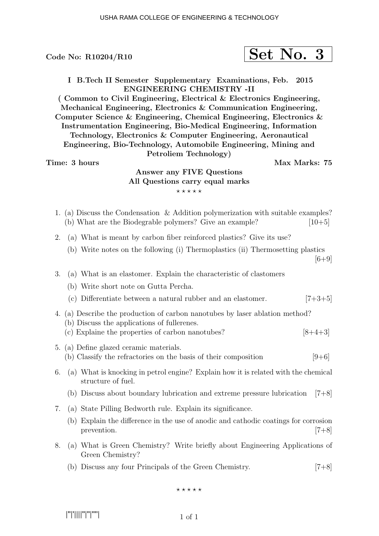$$
\fbox{Set No. 3}
$$

I B.Tech II Semester Supplementary Examinations, Feb. 2015 ENGINEERING CHEMISTRY -II

( Common to Civil Engineering, Electrical & Electronics Engineering, Mechanical Engineering, Electronics & Communication Engineering, Computer Science & Engineering, Chemical Engineering, Electronics & Instrumentation Engineering, Bio-Medical Engineering, Information Technology, Electronics & Computer Engineering, Aeronautical Engineering, Bio-Technology, Automobile Engineering, Mining and Petroliem Technology)

#### Time: 3 hours and the set of the Max Marks: 75

## Answer any FIVE Questions All Questions carry equal marks  $***$ \*\*

- 1. (a) Discuss the Condensation & Addition polymerization with suitable examples? (b) What are the Biodegrable polymers? Give an example?  $[10+5]$
- 2. (a) What is meant by carbon fiber reinforced plastics? Give its use?
	- (b) Write notes on the following (i) Thermoplastics (ii) Thermosetting plastics

 $[6+9]$ 

- 3. (a) What is an elastomer. Explain the characteristic of clastomers
	- (b) Write short note on Gutta Percha.
	- (c) Differentiate between a natural rubber and an elastomer.  $[7+3+5]$
- 4. (a) Describe the production of carbon nanotubes by laser ablation method? (b) Discuss the applications of fullerenes.
	- (c) Explaine the properties of carbon nanotubes?  $[8+4+3]$
- 5. (a) Define glazed ceramic materials. (b) Classify the refractories on the basis of their composition  $[9+6]$
- 6. (a) What is knocking in petrol engine? Explain how it is related with the chemical structure of fuel.
	- (b) Discuss about boundary lubrication and extreme pressure lubrication [7+8]
- 7. (a) State Pilling Bedworth rule. Explain its significance.
	- (b) Explain the difference in the use of anodic and cathodic coatings for corrosion prevention. [7+8]
- 8. (a) What is Green Chemistry? Write briefly about Engineering Applications of Green Chemistry?
	- (b) Discuss any four Principals of the Green Chemistry. [7+8]

 $***$ \*\*